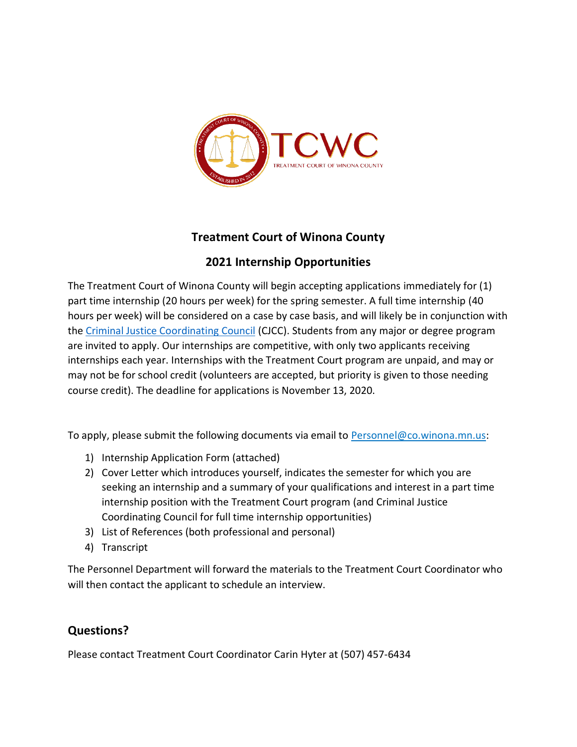

## **Treatment Court of Winona County**

## **2021 Internship Opportunities**

The Treatment Court of Winona County will begin accepting applications immediately for (1) part time internship (20 hours per week) for the spring semester. A full time internship (40 hours per week) will be considered on a case by case basis, and will likely be in conjunction with the [Criminal Justice Coordinating Council](http://winonacountycjcc.org/) (CJCC). Students from any major or degree program are invited to apply. Our internships are competitive, with only two applicants receiving internships each year. Internships with the Treatment Court program are unpaid, and may or may not be for school credit (volunteers are accepted, but priority is given to those needing course credit). The deadline for applications is November 13, 2020.

To apply, please submit the following documents via email to [Personnel@co.winona.mn.us:](mailto:Personnel@co.winona.mn.us)

- 1) Internship Application Form (attached)
- 2) Cover Letter which introduces yourself, indicates the semester for which you are seeking an internship and a summary of your qualifications and interest in a part time internship position with the Treatment Court program (and Criminal Justice Coordinating Council for full time internship opportunities)
- 3) List of References (both professional and personal)
- 4) Transcript

The Personnel Department will forward the materials to the Treatment Court Coordinator who will then contact the applicant to schedule an interview.

## **Questions?**

Please contact Treatment Court Coordinator Carin Hyter at (507) 457-6434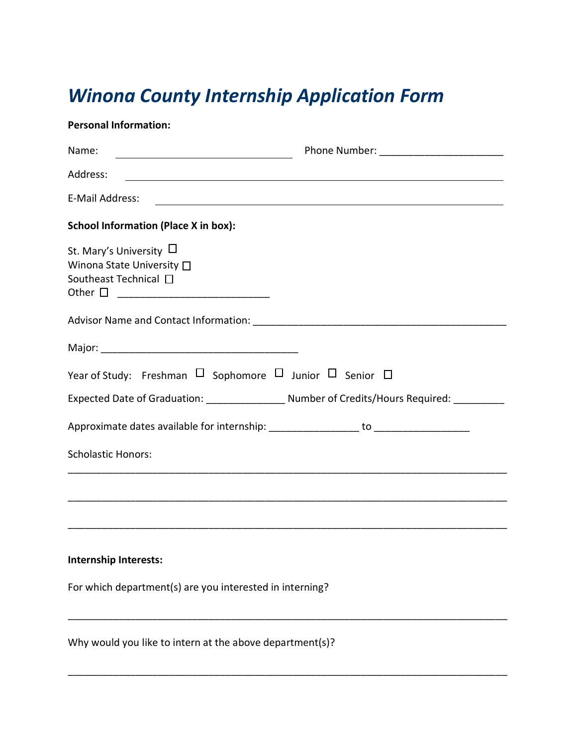## *Winona County Internship Application Form*

| <b>Personal Information:</b>                                                       |                                                                                                                        |
|------------------------------------------------------------------------------------|------------------------------------------------------------------------------------------------------------------------|
| Name:                                                                              |                                                                                                                        |
| Address:                                                                           | <u> 1989 - Johann Stoff, deutscher Stoffen und der Stoffen und der Stoffen und der Stoffen und der Stoffen und der</u> |
| E-Mail Address:                                                                    | <u> 2000 - Andrea Andrew Maria (h. 1888).</u>                                                                          |
| <b>School Information (Place X in box):</b>                                        |                                                                                                                        |
| St. Mary's University $\Box$<br>Winona State University □<br>Southeast Technical □ |                                                                                                                        |
|                                                                                    |                                                                                                                        |
|                                                                                    |                                                                                                                        |
| Year of Study: Freshman $\Box$ Sophomore $\Box$ Junior $\Box$ Senior $\Box$        |                                                                                                                        |
|                                                                                    |                                                                                                                        |
| Approximate dates available for internship: ___________________ to ______________  |                                                                                                                        |
| <b>Scholastic Honors:</b>                                                          |                                                                                                                        |
|                                                                                    |                                                                                                                        |
| <b>Internship Interests:</b>                                                       |                                                                                                                        |
| For which department(s) are you interested in interning?                           |                                                                                                                        |
| Why would you like to intern at the above department(s)?                           |                                                                                                                        |

\_\_\_\_\_\_\_\_\_\_\_\_\_\_\_\_\_\_\_\_\_\_\_\_\_\_\_\_\_\_\_\_\_\_\_\_\_\_\_\_\_\_\_\_\_\_\_\_\_\_\_\_\_\_\_\_\_\_\_\_\_\_\_\_\_\_\_\_\_\_\_\_\_\_\_\_\_\_